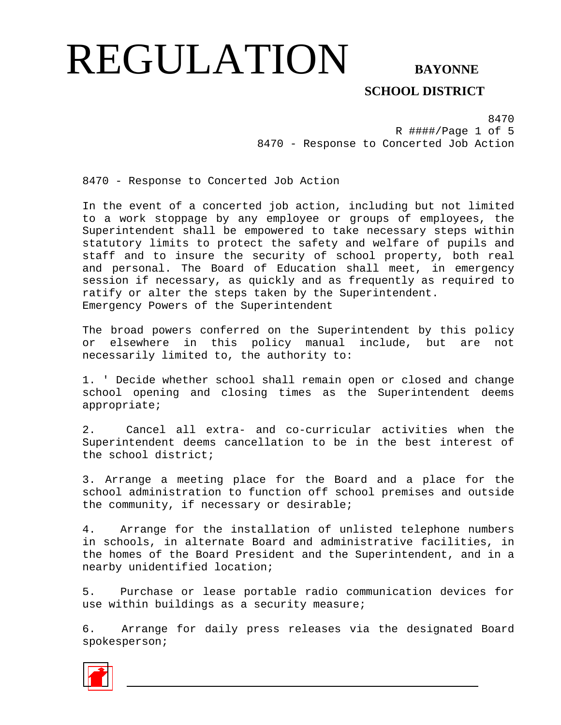**SCHOOL DISTRICT** 

8470 R ####/Page 1 of 5 8470 - Response to Concerted Job Action

8470 - Response to Concerted Job Action

In the event of a concerted job action, including but not limited to a work stoppage by any employee or groups of employees, the Superintendent shall be empowered to take necessary steps within statutory limits to protect the safety and welfare of pupils and staff and to insure the security of school property, both real and personal. The Board of Education shall meet, in emergency session if necessary, as quickly and as frequently as required to ratify or alter the steps taken by the Superintendent. Emergency Powers of the Superintendent

The broad powers conferred on the Superintendent by this policy or elsewhere in this policy manual include, but are not necessarily limited to, the authority to:

1. ' Decide whether school shall remain open or closed and change school opening and closing times as the Superintendent deems appropriate;

2. Cancel all extra- and co-curricular activities when the Superintendent deems cancellation to be in the best interest of the school district;

3. Arrange a meeting place for the Board and a place for the school administration to function off school premises and outside the community, if necessary or desirable;

4. Arrange for the installation of unlisted telephone numbers in schools, in alternate Board and administrative facilities, in the homes of the Board President and the Superintendent, and in a nearby unidentified location;

5. Purchase or lease portable radio communication devices for use within buildings as a security measure;

6. Arrange for daily press releases via the designated Board spokesperson;

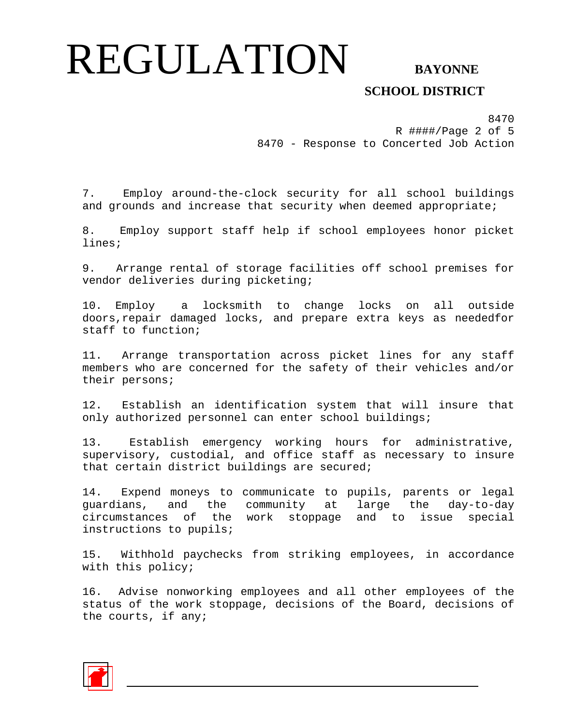## **SCHOOL DISTRICT**

8470 R ####/Page 2 of 5 8470 - Response to Concerted Job Action

7. Employ around-the-clock security for all school buildings and grounds and increase that security when deemed appropriate;

8. Employ support staff help if school employees honor picket lines;

9. Arrange rental of storage facilities off school premises for vendor deliveries during picketing;

10. Employ a locksmith to change locks on all outside doors,repair damaged locks, and prepare extra keys as neededfor staff to function;

11. Arrange transportation across picket lines for any staff members who are concerned for the safety of their vehicles and/or their persons;

12. Establish an identification system that will insure that only authorized personnel can enter school buildings;

13. Establish emergency working hours for administrative, supervisory, custodial, and office staff as necessary to insure that certain district buildings are secured;

14. Expend moneys to communicate to pupils, parents or legal guardians, and the community at large the day-to-day circumstances of the work stoppage and to issue special instructions to pupils;

15. Withhold paychecks from striking employees, in accordance with this policy;

16. Advise nonworking employees and all other employees of the status of the work stoppage, decisions of the Board, decisions of the courts, if any;

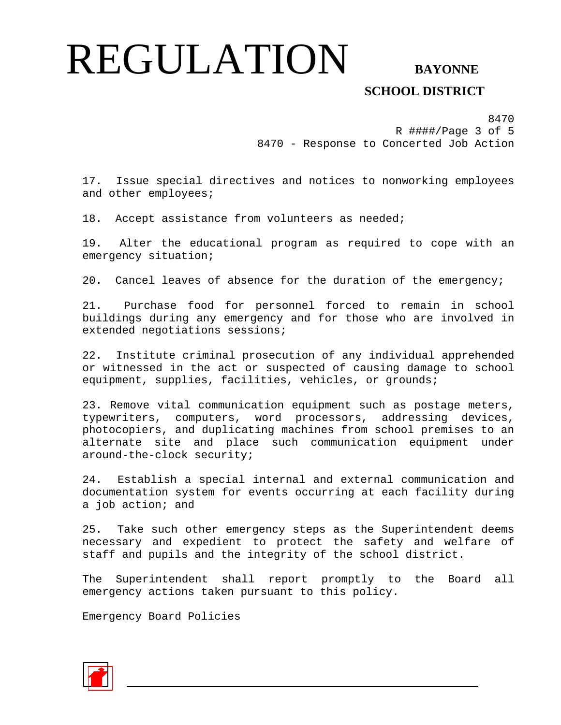## **SCHOOL DISTRICT**

8470 R ####/Page 3 of 5 8470 - Response to Concerted Job Action

17. Issue special directives and notices to nonworking employees and other employees;

18. Accept assistance from volunteers as needed;

19. Alter the educational program as required to cope with an emergency situation;

20. Cancel leaves of absence for the duration of the emergency;

21. Purchase food for personnel forced to remain in school buildings during any emergency and for those who are involved in extended negotiations sessions;

22. Institute criminal prosecution of any individual apprehended or witnessed in the act or suspected of causing damage to school equipment, supplies, facilities, vehicles, or grounds;

23. Remove vital communication equipment such as postage meters, typewriters, computers, word processors, addressing devices, photocopiers, and duplicating machines from school premises to an alternate site and place such communication equipment under around-the-clock security;

24. Establish a special internal and external communication and documentation system for events occurring at each facility during a job action; and

25. Take such other emergency steps as the Superintendent deems necessary and expedient to protect the safety and welfare of staff and pupils and the integrity of the school district.

The Superintendent shall report promptly to the Board all emergency actions taken pursuant to this policy.

Emergency Board Policies

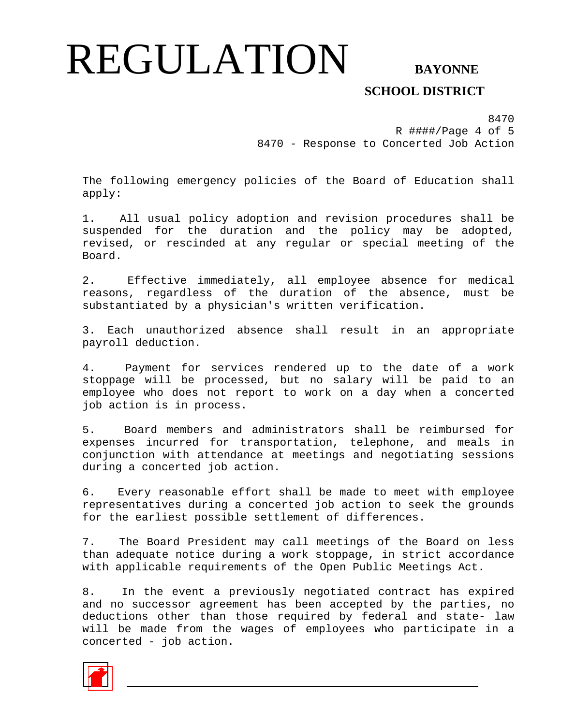## **SCHOOL DISTRICT**

8470 R ####/Page 4 of 5 8470 - Response to Concerted Job Action

The following emergency policies of the Board of Education shall apply:

1. All usual policy adoption and revision procedures shall be suspended for the duration and the policy may be adopted, revised, or rescinded at any regular or special meeting of the Board.

2. Effective immediately, all employee absence for medical reasons, regardless of the duration of the absence, must be substantiated by a physician's written verification.

3. Each unauthorized absence shall result in an appropriate payroll deduction.

4. Payment for services rendered up to the date of a work stoppage will be processed, but no salary will be paid to an employee who does not report to work on a day when a concerted job action is in process.

5. Board members and administrators shall be reimbursed for expenses incurred for transportation, telephone, and meals in conjunction with attendance at meetings and negotiating sessions during a concerted job action.

6. Every reasonable effort shall be made to meet with employee representatives during a concerted job action to seek the grounds for the earliest possible settlement of differences.

7. The Board President may call meetings of the Board on less than adequate notice during a work stoppage, in strict accordance with applicable requirements of the Open Public Meetings Act.

8. In the event a previously negotiated contract has expired and no successor agreement has been accepted by the parties, no deductions other than those required by federal and state- law will be made from the wages of employees who participate in a concerted - job action.